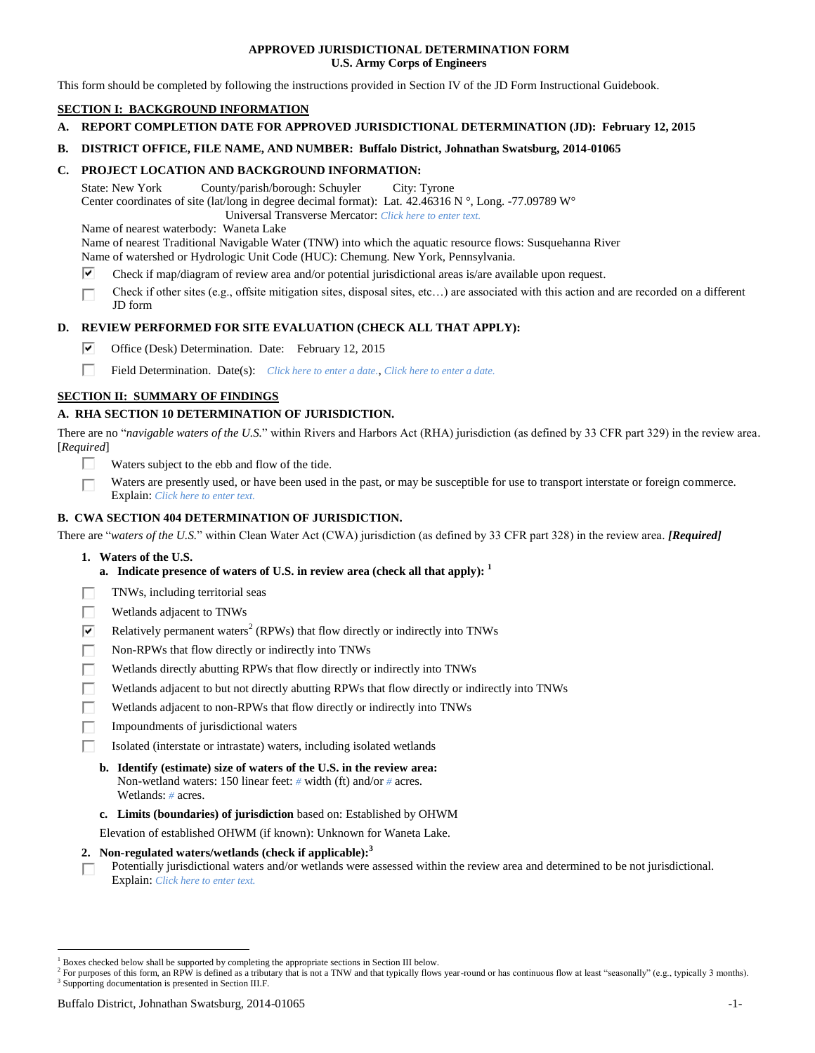### **APPROVED JURISDICTIONAL DETERMINATION FORM U.S. Army Corps of Engineers**

This form should be completed by following the instructions provided in Section IV of the JD Form Instructional Guidebook.

# **SECTION I: BACKGROUND INFORMATION**

**A. REPORT COMPLETION DATE FOR APPROVED JURISDICTIONAL DETERMINATION (JD): February 12, 2015**

### **B. DISTRICT OFFICE, FILE NAME, AND NUMBER: Buffalo District, Johnathan Swatsburg, 2014-01065**

### **C. PROJECT LOCATION AND BACKGROUND INFORMATION:**

State: New York County/parish/borough: Schuyler City: Tyrone Center coordinates of site (lat/long in degree decimal format): Lat. 42.46316 N °, Long. -77.09789 W°

Universal Transverse Mercator: *Click here to enter text.*

Name of nearest waterbody: Waneta Lake

Name of nearest Traditional Navigable Water (TNW) into which the aquatic resource flows: Susquehanna River Name of watershed or Hydrologic Unit Code (HUC): Chemung. New York, Pennsylvania.

- ⊽ Check if map/diagram of review area and/or potential jurisdictional areas is/are available upon request.
- Check if other sites (e.g., offsite mitigation sites, disposal sites, etc…) are associated with this action and are recorded on a different П JD form

# **D. REVIEW PERFORMED FOR SITE EVALUATION (CHECK ALL THAT APPLY):**

- ☞ Office (Desk) Determination. Date: February 12, 2015
- П. Field Determination. Date(s): *Click here to enter a date.*, *Click here to enter a date.*

# **SECTION II: SUMMARY OF FINDINGS**

# **A. RHA SECTION 10 DETERMINATION OF JURISDICTION.**

There are no "*navigable waters of the U.S.*" within Rivers and Harbors Act (RHA) jurisdiction (as defined by 33 CFR part 329) in the review area. [*Required*]

- П. Waters subject to the ebb and flow of the tide.
- Waters are presently used, or have been used in the past, or may be susceptible for use to transport interstate or foreign commerce. Explain: *Click here to enter text.*

# **B. CWA SECTION 404 DETERMINATION OF JURISDICTION.**

There are "*waters of the U.S.*" within Clean Water Act (CWA) jurisdiction (as defined by 33 CFR part 328) in the review area. *[Required]*

- **1. Waters of the U.S.**
	- **a. Indicate presence of waters of U.S. in review area (check all that apply): 1**
- П TNWs, including territorial seas
- П Wetlands adjacent to TNWs
- $\overline{\mathbf{v}}$ Relatively permanent waters<sup>2</sup> (RPWs) that flow directly or indirectly into TNWs
- П Non-RPWs that flow directly or indirectly into TNWs
- Wetlands directly abutting RPWs that flow directly or indirectly into TNWs г
- Wetlands adjacent to but not directly abutting RPWs that flow directly or indirectly into TNWs
- П Wetlands adjacent to non-RPWs that flow directly or indirectly into TNWs
- Impoundments of jurisdictional waters
- г Isolated (interstate or intrastate) waters, including isolated wetlands
	- **b. Identify (estimate) size of waters of the U.S. in the review area:** Non-wetland waters: 150 linear feet: *#* width (ft) and/or *#* acres. Wetlands: *#* acres.
	- **c. Limits (boundaries) of jurisdiction** based on: Established by OHWM
	- Elevation of established OHWM (if known): Unknown for Waneta Lake.
- **2. Non-regulated waters/wetlands (check if applicable): 3**
- Potentially jurisdictional waters and/or wetlands were assessed within the review area and determined to be not jurisdictional. П Explain: *Click here to enter text.*

<sup>1</sup> Boxes checked below shall be supported by completing the appropriate sections in Section III below.

<sup>&</sup>lt;sup>2</sup> For purposes of this form, an RPW is defined as a tributary that is not a TNW and that typically flows year-round or has continuous flow at least "seasonally" (e.g., typically 3 months). <sup>3</sup> Supporting documentation is presented in Section III.F.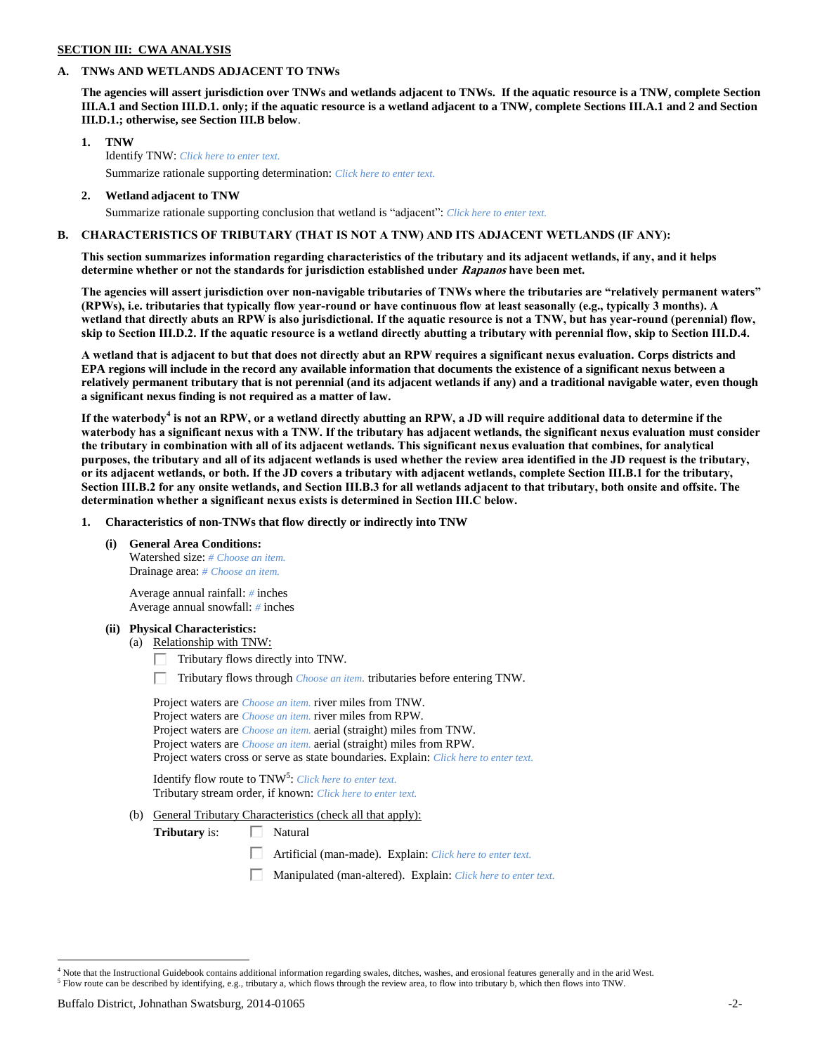# **SECTION III: CWA ANALYSIS**

# **A. TNWs AND WETLANDS ADJACENT TO TNWs**

**The agencies will assert jurisdiction over TNWs and wetlands adjacent to TNWs. If the aquatic resource is a TNW, complete Section III.A.1 and Section III.D.1. only; if the aquatic resource is a wetland adjacent to a TNW, complete Sections III.A.1 and 2 and Section III.D.1.; otherwise, see Section III.B below**.

- **1. TNW**  Identify TNW: *Click here to enter text.* Summarize rationale supporting determination: *Click here to enter text.*
- **2. Wetland adjacent to TNW**

# Summarize rationale supporting conclusion that wetland is "adjacent": *Click here to enter text.*

# **B. CHARACTERISTICS OF TRIBUTARY (THAT IS NOT A TNW) AND ITS ADJACENT WETLANDS (IF ANY):**

**This section summarizes information regarding characteristics of the tributary and its adjacent wetlands, if any, and it helps determine whether or not the standards for jurisdiction established under Rapanos have been met.** 

**The agencies will assert jurisdiction over non-navigable tributaries of TNWs where the tributaries are "relatively permanent waters" (RPWs), i.e. tributaries that typically flow year-round or have continuous flow at least seasonally (e.g., typically 3 months). A wetland that directly abuts an RPW is also jurisdictional. If the aquatic resource is not a TNW, but has year-round (perennial) flow, skip to Section III.D.2. If the aquatic resource is a wetland directly abutting a tributary with perennial flow, skip to Section III.D.4.**

**A wetland that is adjacent to but that does not directly abut an RPW requires a significant nexus evaluation. Corps districts and EPA regions will include in the record any available information that documents the existence of a significant nexus between a relatively permanent tributary that is not perennial (and its adjacent wetlands if any) and a traditional navigable water, even though a significant nexus finding is not required as a matter of law.**

**If the waterbody<sup>4</sup> is not an RPW, or a wetland directly abutting an RPW, a JD will require additional data to determine if the waterbody has a significant nexus with a TNW. If the tributary has adjacent wetlands, the significant nexus evaluation must consider the tributary in combination with all of its adjacent wetlands. This significant nexus evaluation that combines, for analytical purposes, the tributary and all of its adjacent wetlands is used whether the review area identified in the JD request is the tributary, or its adjacent wetlands, or both. If the JD covers a tributary with adjacent wetlands, complete Section III.B.1 for the tributary, Section III.B.2 for any onsite wetlands, and Section III.B.3 for all wetlands adjacent to that tributary, both onsite and offsite. The determination whether a significant nexus exists is determined in Section III.C below.**

**1. Characteristics of non-TNWs that flow directly or indirectly into TNW**

**(i) General Area Conditions:**

Watershed size: *# Choose an item.* Drainage area: *# Choose an item.*

Average annual rainfall: *#* inches Average annual snowfall: *#* inches

### **(ii) Physical Characteristics:**

- (a) Relationship with TNW:
	- $\Box$  Tributary flows directly into TNW.
	- Tributary flows through *Choose an item.* tributaries before entering TNW.

| Project waters are <i>Choose an item</i> , river miles from TNW.                      |
|---------------------------------------------------------------------------------------|
| Project waters are <i>Choose an item</i> , river miles from RPW.                      |
| Project waters are <i>Choose an item.</i> aerial (straight) miles from TNW.           |
| Project waters are <i>Choose an item.</i> aerial (straight) miles from RPW.           |
| Project waters cross or serve as state boundaries. Explain: Click here to enter text. |

Identify flow route to TNW<sup>5</sup>: *Click here to enter text.* Tributary stream order, if known: *Click here to enter text.*

(b) General Tributary Characteristics (check all that apply):

**Tributary** is:  $\Box$  Natural

- Artificial (man-made). Explain: *Click here to enter text.*
- Manipulated (man-altered). Explain: *Click here to enter text.*

<sup>4</sup> Note that the Instructional Guidebook contains additional information regarding swales, ditches, washes, and erosional features generally and in the arid West. <sup>5</sup> Flow route can be described by identifying, e.g., tributary a, which flows through the review area, to flow into tributary b, which then flows into TNW.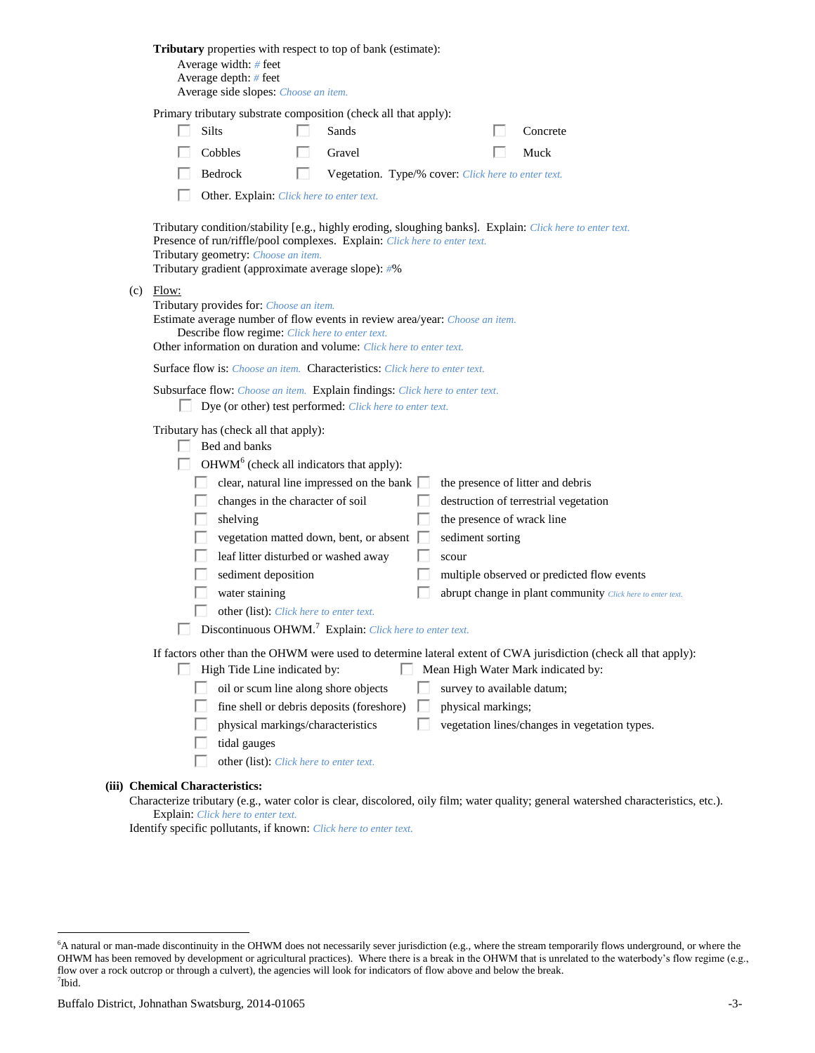|                                                                                                                                                                        | Tributary properties with respect to top of bank (estimate):<br>Average width: # feet<br>Average depth: # feet<br>Average side slopes: Choose an item.                                                                                                                                                                                                                                                                                                                                                                                                                                                                                                                                                             |  |  |  |  |
|------------------------------------------------------------------------------------------------------------------------------------------------------------------------|--------------------------------------------------------------------------------------------------------------------------------------------------------------------------------------------------------------------------------------------------------------------------------------------------------------------------------------------------------------------------------------------------------------------------------------------------------------------------------------------------------------------------------------------------------------------------------------------------------------------------------------------------------------------------------------------------------------------|--|--|--|--|
|                                                                                                                                                                        | Primary tributary substrate composition (check all that apply):                                                                                                                                                                                                                                                                                                                                                                                                                                                                                                                                                                                                                                                    |  |  |  |  |
|                                                                                                                                                                        | Silts<br>Sands<br>Concrete                                                                                                                                                                                                                                                                                                                                                                                                                                                                                                                                                                                                                                                                                         |  |  |  |  |
|                                                                                                                                                                        | Cobbles<br>Gravel<br>Muck                                                                                                                                                                                                                                                                                                                                                                                                                                                                                                                                                                                                                                                                                          |  |  |  |  |
|                                                                                                                                                                        | Bedrock<br>Vegetation. Type/% cover: Click here to enter text.                                                                                                                                                                                                                                                                                                                                                                                                                                                                                                                                                                                                                                                     |  |  |  |  |
|                                                                                                                                                                        | Other. Explain: Click here to enter text.                                                                                                                                                                                                                                                                                                                                                                                                                                                                                                                                                                                                                                                                          |  |  |  |  |
|                                                                                                                                                                        | Tributary condition/stability [e.g., highly eroding, sloughing banks]. Explain: Click here to enter text.<br>Presence of run/riffle/pool complexes. Explain: Click here to enter text.<br>Tributary geometry: Choose an item.<br>Tributary gradient (approximate average slope): #%                                                                                                                                                                                                                                                                                                                                                                                                                                |  |  |  |  |
| (c)                                                                                                                                                                    | Flow:<br>Tributary provides for: Choose an item.<br>Estimate average number of flow events in review area/year: Choose an item.<br>Describe flow regime: Click here to enter text.<br>Other information on duration and volume: Click here to enter text.                                                                                                                                                                                                                                                                                                                                                                                                                                                          |  |  |  |  |
|                                                                                                                                                                        | <b>Surface flow is:</b> <i>Choose an item.</i> <b>Characteristics:</b> <i>Click here to enter text.</i>                                                                                                                                                                                                                                                                                                                                                                                                                                                                                                                                                                                                            |  |  |  |  |
|                                                                                                                                                                        | Subsurface flow: Choose an item. Explain findings: Click here to enter text.<br>Dye (or other) test performed: Click here to enter text.                                                                                                                                                                                                                                                                                                                                                                                                                                                                                                                                                                           |  |  |  |  |
|                                                                                                                                                                        | Tributary has (check all that apply):<br>Bed and banks<br>OHWM <sup>6</sup> (check all indicators that apply):<br>clear, natural line impressed on the bank  <br>the presence of litter and debris<br>changes in the character of soil<br>destruction of terrestrial vegetation<br>shelving<br>the presence of wrack line<br>vegetation matted down, bent, or absent [<br>sediment sorting<br>leaf litter disturbed or washed away<br>scour<br>sediment deposition<br>multiple observed or predicted flow events<br>water staining<br>abrupt change in plant community Click here to enter text.<br>other (list): Click here to enter text.<br>Discontinuous OHWM. <sup>7</sup> Explain: Click here to enter text. |  |  |  |  |
|                                                                                                                                                                        | If factors other than the OHWM were used to determine lateral extent of CWA jurisdiction (check all that apply):                                                                                                                                                                                                                                                                                                                                                                                                                                                                                                                                                                                                   |  |  |  |  |
|                                                                                                                                                                        | High Tide Line indicated by:<br>Mean High Water Mark indicated by:                                                                                                                                                                                                                                                                                                                                                                                                                                                                                                                                                                                                                                                 |  |  |  |  |
|                                                                                                                                                                        | oil or scum line along shore objects<br>survey to available datum;                                                                                                                                                                                                                                                                                                                                                                                                                                                                                                                                                                                                                                                 |  |  |  |  |
|                                                                                                                                                                        | fine shell or debris deposits (foreshore)<br>physical markings;                                                                                                                                                                                                                                                                                                                                                                                                                                                                                                                                                                                                                                                    |  |  |  |  |
|                                                                                                                                                                        | physical markings/characteristics<br>vegetation lines/changes in vegetation types.                                                                                                                                                                                                                                                                                                                                                                                                                                                                                                                                                                                                                                 |  |  |  |  |
|                                                                                                                                                                        | tidal gauges<br>other (list): Click here to enter text.                                                                                                                                                                                                                                                                                                                                                                                                                                                                                                                                                                                                                                                            |  |  |  |  |
|                                                                                                                                                                        |                                                                                                                                                                                                                                                                                                                                                                                                                                                                                                                                                                                                                                                                                                                    |  |  |  |  |
| (iii) Chemical Characteristics:<br>Characterize tributary (e.g., water color is clear, discolored, oily film; water quality; general watershed characteristics, etc.). |                                                                                                                                                                                                                                                                                                                                                                                                                                                                                                                                                                                                                                                                                                                    |  |  |  |  |
|                                                                                                                                                                        | <b>Explain:</b> Click here to enter text.                                                                                                                                                                                                                                                                                                                                                                                                                                                                                                                                                                                                                                                                          |  |  |  |  |

Identify specific pollutants, if known: *Click here to enter text.*

<sup>&</sup>lt;sup>6</sup>A natural or man-made discontinuity in the OHWM does not necessarily sever jurisdiction (e.g., where the stream temporarily flows underground, or where the OHWM has been removed by development or agricultural practices). Where there is a break in the OHWM that is unrelated to the waterbody's flow regime (e.g., flow over a rock outcrop or through a culvert), the agencies will look for indicators of flow above and below the break. 7 Ibid.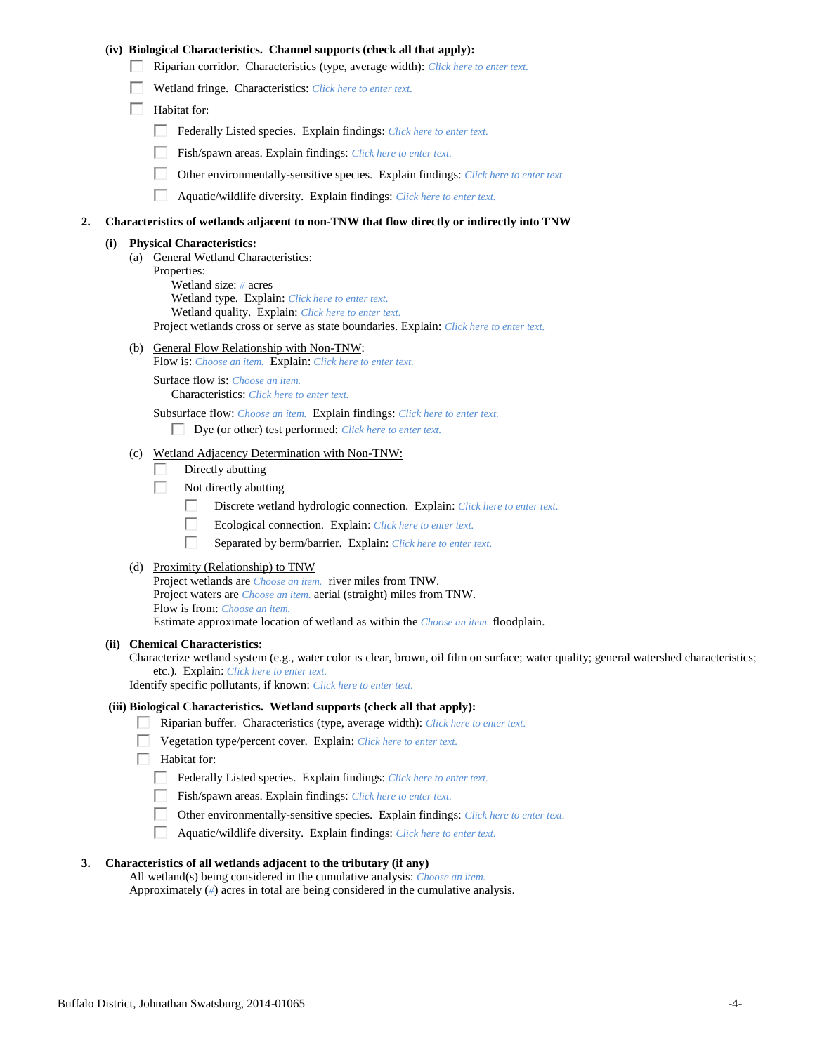# **(iv) Biological Characteristics. Channel supports (check all that apply):**

- Riparian corridor. Characteristics (type, average width): *Click here to enter text.*
- Wetland fringe. Characteristics: *Click here to enter text.*
- $\Box$  Habitat for:
	- Federally Listed species. Explain findings: *Click here to enter text.*
	- Fish/spawn areas. Explain findings: *Click here to enter text.*
	- $\Box$ Other environmentally-sensitive species. Explain findings: *Click here to enter text.*
	- $\Box$ Aquatic/wildlife diversity. Explain findings: *Click here to enter text.*

### **2. Characteristics of wetlands adjacent to non-TNW that flow directly or indirectly into TNW**

#### **(i) Physical Characteristics:**

- (a) General Wetland Characteristics: Properties: Wetland size: *#* acres Wetland type. Explain: *Click here to enter text.* Wetland quality. Explain: *Click here to enter text.* Project wetlands cross or serve as state boundaries. Explain: *Click here to enter text.*
- (b) General Flow Relationship with Non-TNW:
	- Flow is: *Choose an item.* Explain: *Click here to enter text.*

Surface flow is: *Choose an item.* Characteristics: *Click here to enter text.*

Subsurface flow: *Choose an item.* Explain findings: *Click here to enter text.*

Dye (or other) test performed: *Click here to enter text.*

# (c) Wetland Adjacency Determination with Non-TNW:

- П. Directly abutting
- Г. Not directly abutting
	- П. Discrete wetland hydrologic connection. Explain: *Click here to enter text.*
	- П. Ecological connection. Explain: *Click here to enter text.*
	- П Separated by berm/barrier. Explain: *Click here to enter text.*
- (d) Proximity (Relationship) to TNW

Project wetlands are *Choose an item.* river miles from TNW. Project waters are *Choose an item.* aerial (straight) miles from TNW. Flow is from: *Choose an item.* Estimate approximate location of wetland as within the *Choose an item.* floodplain.

#### **(ii) Chemical Characteristics:**

Characterize wetland system (e.g., water color is clear, brown, oil film on surface; water quality; general watershed characteristics; etc.). Explain: *Click here to enter text.*

Identify specific pollutants, if known: *Click here to enter text.*

### **(iii) Biological Characteristics. Wetland supports (check all that apply):**

- Riparian buffer. Characteristics (type, average width): *Click here to enter text.*
- Vegetation type/percent cover. Explain: *Click here to enter text.*
- $\Box$  Habitat for:
	- Federally Listed species. Explain findings: *Click here to enter text*.
	- Fish/spawn areas. Explain findings: *Click here to enter text.*
	- Other environmentally-sensitive species. Explain findings: *Click here to enter text.*
	- Aquatic/wildlife diversity. Explain findings: *Click here to enter text.* П.

## **3. Characteristics of all wetlands adjacent to the tributary (if any)**

All wetland(s) being considered in the cumulative analysis: *Choose an item.* Approximately (*#*) acres in total are being considered in the cumulative analysis.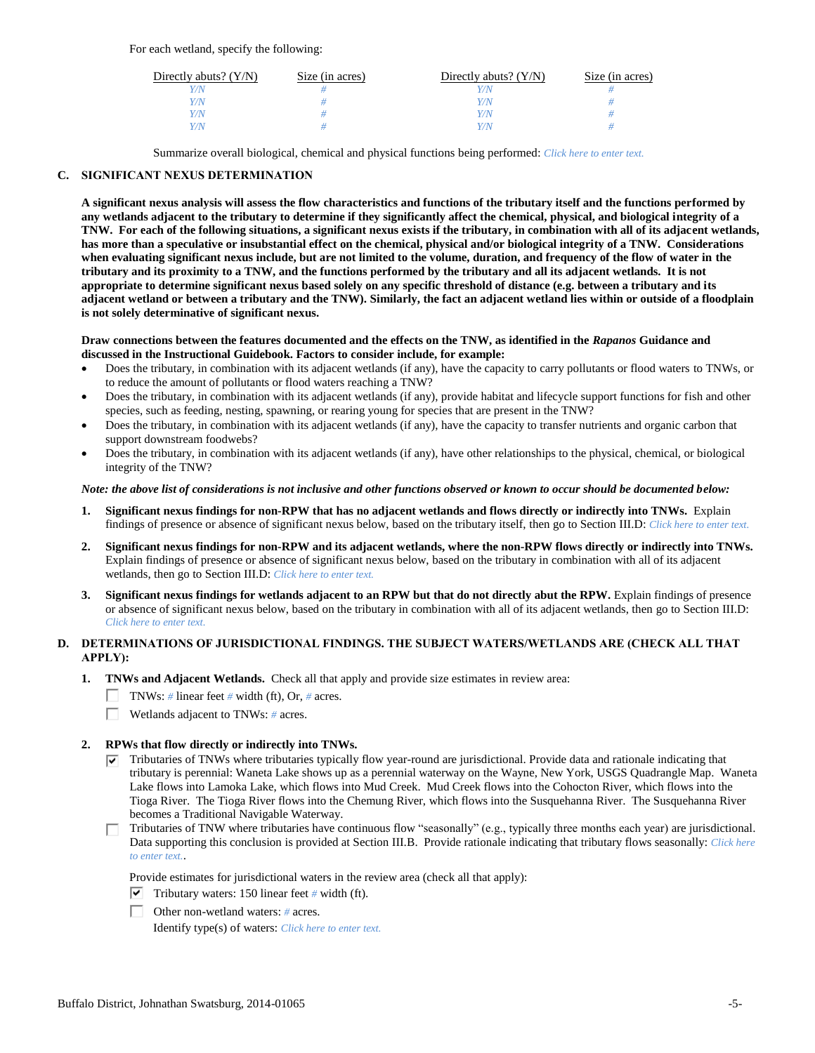For each wetland, specify the following:

| Directly abuts? $(Y/N)$ | Size (in acres) | Directly abuts? $(Y/N)$ | Size (in acres) |
|-------------------------|-----------------|-------------------------|-----------------|
|                         |                 |                         |                 |
| V/N                     |                 | V/N                     |                 |
| V/N                     |                 | Y/N                     |                 |
|                         |                 | Y/N                     |                 |

Summarize overall biological, chemical and physical functions being performed: *Click here to enter text.*

# **C. SIGNIFICANT NEXUS DETERMINATION**

**A significant nexus analysis will assess the flow characteristics and functions of the tributary itself and the functions performed by any wetlands adjacent to the tributary to determine if they significantly affect the chemical, physical, and biological integrity of a TNW. For each of the following situations, a significant nexus exists if the tributary, in combination with all of its adjacent wetlands, has more than a speculative or insubstantial effect on the chemical, physical and/or biological integrity of a TNW. Considerations when evaluating significant nexus include, but are not limited to the volume, duration, and frequency of the flow of water in the tributary and its proximity to a TNW, and the functions performed by the tributary and all its adjacent wetlands. It is not appropriate to determine significant nexus based solely on any specific threshold of distance (e.g. between a tributary and its adjacent wetland or between a tributary and the TNW). Similarly, the fact an adjacent wetland lies within or outside of a floodplain is not solely determinative of significant nexus.** 

### **Draw connections between the features documented and the effects on the TNW, as identified in the** *Rapanos* **Guidance and discussed in the Instructional Guidebook. Factors to consider include, for example:**

- Does the tributary, in combination with its adjacent wetlands (if any), have the capacity to carry pollutants or flood waters to TNWs, or to reduce the amount of pollutants or flood waters reaching a TNW?
- Does the tributary, in combination with its adjacent wetlands (if any), provide habitat and lifecycle support functions for fish and other species, such as feeding, nesting, spawning, or rearing young for species that are present in the TNW?
- Does the tributary, in combination with its adjacent wetlands (if any), have the capacity to transfer nutrients and organic carbon that support downstream foodwebs?
- Does the tributary, in combination with its adjacent wetlands (if any), have other relationships to the physical, chemical, or biological integrity of the TNW?

## *Note: the above list of considerations is not inclusive and other functions observed or known to occur should be documented below:*

- **1. Significant nexus findings for non-RPW that has no adjacent wetlands and flows directly or indirectly into TNWs.** Explain findings of presence or absence of significant nexus below, based on the tributary itself, then go to Section III.D: *Click here to enter text.*
- **2. Significant nexus findings for non-RPW and its adjacent wetlands, where the non-RPW flows directly or indirectly into TNWs.**  Explain findings of presence or absence of significant nexus below, based on the tributary in combination with all of its adjacent wetlands, then go to Section III.D: *Click here to enter text.*
- **3. Significant nexus findings for wetlands adjacent to an RPW but that do not directly abut the RPW.** Explain findings of presence or absence of significant nexus below, based on the tributary in combination with all of its adjacent wetlands, then go to Section III.D: *Click here to enter text.*

# **D. DETERMINATIONS OF JURISDICTIONAL FINDINGS. THE SUBJECT WATERS/WETLANDS ARE (CHECK ALL THAT APPLY):**

- **1. TNWs and Adjacent Wetlands.** Check all that apply and provide size estimates in review area:
	- TNWs: *#* linear feet *#* width (ft), Or, *#* acres.
	- $\Box$ Wetlands adjacent to TNWs: *#* acres.

# **2. RPWs that flow directly or indirectly into TNWs.**

- $\nabla$  Tributaries of TNWs where tributaries typically flow year-round are jurisdictional. Provide data and rationale indicating that tributary is perennial: Waneta Lake shows up as a perennial waterway on the Wayne, New York, USGS Quadrangle Map. Waneta Lake flows into Lamoka Lake, which flows into Mud Creek. Mud Creek flows into the Cohocton River, which flows into the Tioga River. The Tioga River flows into the Chemung River, which flows into the Susquehanna River. The Susquehanna River becomes a Traditional Navigable Waterway.
- Tributaries of TNW where tributaries have continuous flow "seasonally" (e.g., typically three months each year) are jurisdictional.  $\Box$ Data supporting this conclusion is provided at Section III.B. Provide rationale indicating that tributary flows seasonally: *Click here to enter text.*.

Provide estimates for jurisdictional waters in the review area (check all that apply):

- $\triangledown$  Tributary waters: 150 linear feet # width (ft).
- Other non-wetland waters: *#* acres.

Identify type(s) of waters: *Click here to enter text.*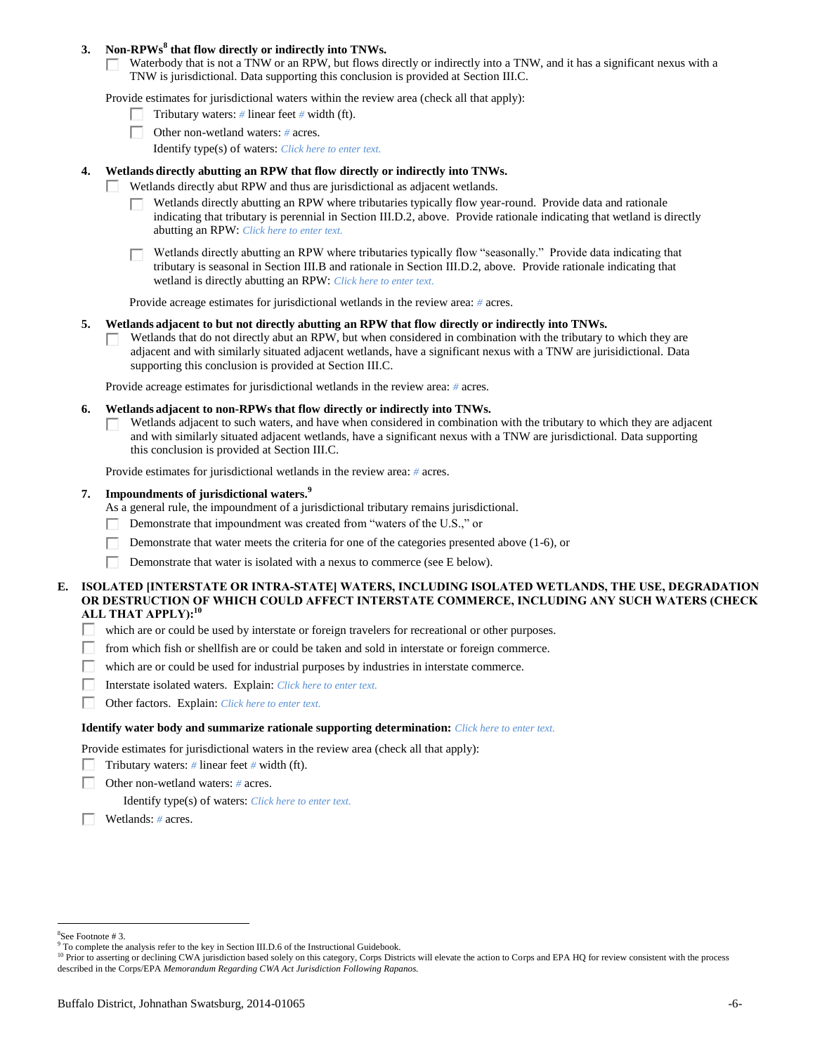# **3. Non-RPWs<sup>8</sup> that flow directly or indirectly into TNWs.**

Waterbody that is not a TNW or an RPW, but flows directly or indirectly into a TNW, and it has a significant nexus with a TNW is jurisdictional. Data supporting this conclusion is provided at Section III.C.

Provide estimates for jurisdictional waters within the review area (check all that apply):

- Tributary waters: *#* linear feet *#* width (ft).  $\mathbf{I}$
- Other non-wetland waters: *#* acres.
	- Identify type(s) of waters: *Click here to enter text.*

### **4. Wetlands directly abutting an RPW that flow directly or indirectly into TNWs.**

- п Wetlands directly abut RPW and thus are jurisdictional as adjacent wetlands.
	- Wetlands directly abutting an RPW where tributaries typically flow year-round. Provide data and rationale indicating that tributary is perennial in Section III.D.2, above. Provide rationale indicating that wetland is directly abutting an RPW: *Click here to enter text.*

Wetlands directly abutting an RPW where tributaries typically flow "seasonally." Provide data indicating that tributary is seasonal in Section III.B and rationale in Section III.D.2, above. Provide rationale indicating that wetland is directly abutting an RPW: *Click here to enter text.*

Provide acreage estimates for jurisdictional wetlands in the review area: *#* acres.

### **5. Wetlands adjacent to but not directly abutting an RPW that flow directly or indirectly into TNWs.**

Wetlands that do not directly abut an RPW, but when considered in combination with the tributary to which they are  $\mathbf{L}$ adjacent and with similarly situated adjacent wetlands, have a significant nexus with a TNW are jurisidictional. Data supporting this conclusion is provided at Section III.C.

Provide acreage estimates for jurisdictional wetlands in the review area: *#* acres.

- **6. Wetlands adjacent to non-RPWs that flow directly or indirectly into TNWs.** 
	- Wetlands adjacent to such waters, and have when considered in combination with the tributary to which they are adjacent П and with similarly situated adjacent wetlands, have a significant nexus with a TNW are jurisdictional. Data supporting this conclusion is provided at Section III.C.

Provide estimates for jurisdictional wetlands in the review area: *#* acres.

# **7. Impoundments of jurisdictional waters. 9**

As a general rule, the impoundment of a jurisdictional tributary remains jurisdictional.

- П Demonstrate that impoundment was created from "waters of the U.S.," or
- Demonstrate that water meets the criteria for one of the categories presented above (1-6), or
- Г Demonstrate that water is isolated with a nexus to commerce (see E below).

# **E. ISOLATED [INTERSTATE OR INTRA-STATE] WATERS, INCLUDING ISOLATED WETLANDS, THE USE, DEGRADATION OR DESTRUCTION OF WHICH COULD AFFECT INTERSTATE COMMERCE, INCLUDING ANY SUCH WATERS (CHECK ALL THAT APPLY):<sup>10</sup>**

- П. which are or could be used by interstate or foreign travelers for recreational or other purposes.
- from which fish or shellfish are or could be taken and sold in interstate or foreign commerce. П.
- П which are or could be used for industrial purposes by industries in interstate commerce.
- П. Interstate isolated waters.Explain: *Click here to enter text.*
- п Other factors.Explain: *Click here to enter text.*

#### **Identify water body and summarize rationale supporting determination:** *Click here to enter text.*

Provide estimates for jurisdictional waters in the review area (check all that apply):

- Tributary waters:  $\#$  linear feet  $\#$  width (ft).
- Г Other non-wetland waters: *#* acres.

Identify type(s) of waters: *Click here to enter text.*

Wetlands: *#* acres.

<sup>8</sup> See Footnote # 3.

<sup>&</sup>lt;sup>9</sup> To complete the analysis refer to the key in Section III.D.6 of the Instructional Guidebook.

<sup>&</sup>lt;sup>10</sup> Prior to asserting or declining CWA jurisdiction based solely on this category, Corps Districts will elevate the action to Corps and EPA HQ for review consistent with the process described in the Corps/EPA *Memorandum Regarding CWA Act Jurisdiction Following Rapanos.*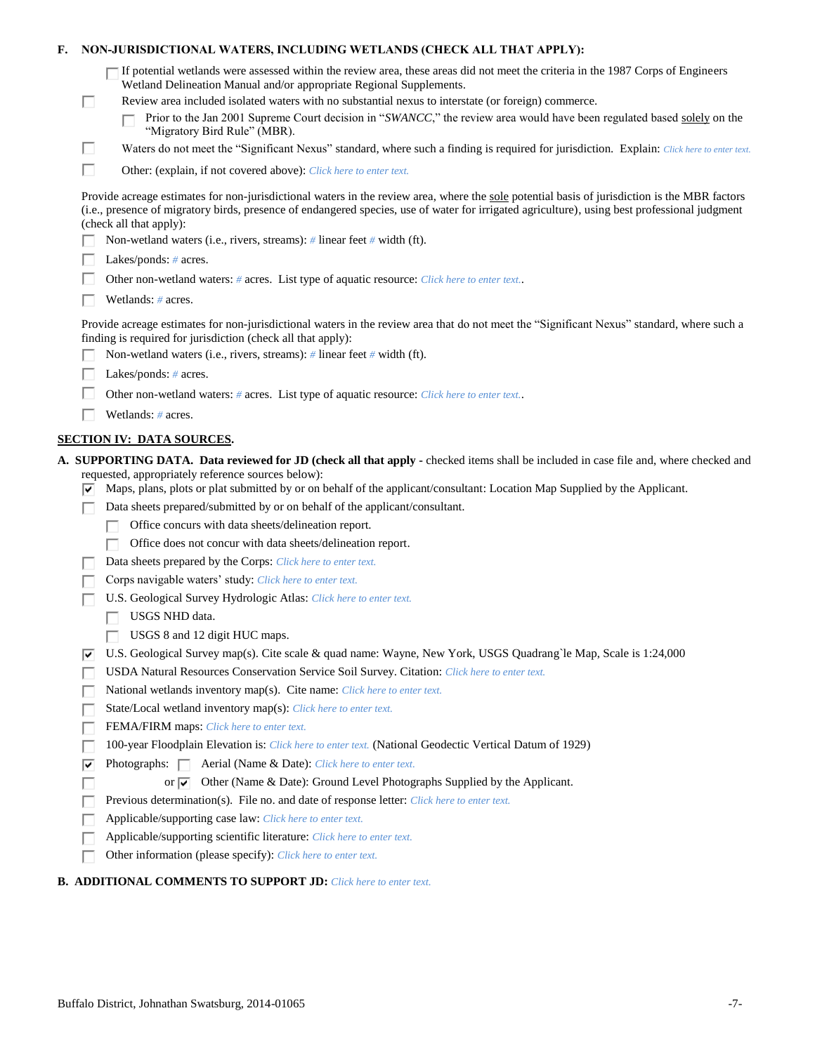| If potential wetlands were assessed within the review area, these areas did not meet the criteria in the 1987 Corps of Engineers<br>Wetland Delineation Manual and/or appropriate Regional Supplements.<br>Review area included isolated waters with no substantial nexus to interstate (or foreign) commerce.<br>□<br>Prior to the Jan 2001 Supreme Court decision in "SWANCC," the review area would have been regulated based solely on the<br>"Migratory Bird Rule" (MBR).<br>□<br>Waters do not meet the "Significant Nexus" standard, where such a finding is required for jurisdiction. Explain: Click here to enter text.<br>Г<br>Other: (explain, if not covered above): Click here to enter text.<br>Provide acreage estimates for non-jurisdictional waters in the review area, where the sole potential basis of jurisdiction is the MBR factors<br>(i.e., presence of migratory birds, presence of endangered species, use of water for irrigated agriculture), using best professional judgment<br>(check all that apply):<br>Non-wetland waters (i.e., rivers, streams): # linear feet # width (ft).<br>Lakes/ponds: $# \, \text{acres.}$<br>Other non-wetland waters: # acres. List type of aquatic resource: Click here to enter text<br>Wetlands: $#$ acres.<br>Provide acreage estimates for non-jurisdictional waters in the review area that do not meet the "Significant Nexus" standard, where such a<br>finding is required for jurisdiction (check all that apply):<br>Non-wetland waters (i.e., rivers, streams): $\#$ linear feet $\#$ width (ft).<br>Lakes/ponds: $# \, \text{acres.}$<br>Other non-wetland waters: # acres. List type of aquatic resource: Click here to enter text<br>Wetlands: # acres.<br><b>SECTION IV: DATA SOURCES.</b><br>A. SUPPORTING DATA. Data reviewed for JD (check all that apply - checked items shall be included in case file and, where checked and<br>requested, appropriately reference sources below):<br>Maps, plans, plots or plat submitted by or on behalf of the applicant/consultant: Location Map Supplied by the Applicant.<br>⊽<br>Data sheets prepared/submitted by or on behalf of the applicant/consultant.<br>Office concurs with data sheets/delineation report.<br>Office does not concur with data sheets/delineation report.<br>Data sheets prepared by the Corps: Click here to enter text.<br>Corps navigable waters' study: Click here to enter text.<br>U.S. Geological Survey Hydrologic Atlas: Click here to enter text.<br>USGS NHD data.<br>USGS 8 and 12 digit HUC maps.<br>U.S. Geological Survey map(s). Cite scale & quad name: Wayne, New York, USGS Quadrang'le Map, Scale is 1:24,000<br> V<br>USDA Natural Resources Conservation Service Soil Survey. Citation: Click here to enter text.<br>National wetlands inventory map(s). Cite name: Click here to enter text.<br>State/Local wetland inventory map(s): Click here to enter text.<br>FEMA/FIRM maps: Click here to enter text.<br>100-year Floodplain Elevation is: Click here to enter text. (National Geodectic Vertical Datum of 1929)<br>Photographs: $\Box$<br>Aerial (Name & Date): Click here to enter text.<br>⊽<br>Other (Name & Date): Ground Level Photographs Supplied by the Applicant.<br>or $\sqrt{ }$<br>Previous determination(s). File no. and date of response letter: Click here to enter text.<br>Applicable/supporting case law: Click here to enter text.<br>Applicable/supporting scientific literature: Click here to enter text.<br>Other information (please specify): Click here to enter text.<br><b>B. ADDITIONAL COMMENTS TO SUPPORT JD:</b> Click here to enter text. | F. |  | NON-JURISDICTIONAL WATERS, INCLUDING WETLANDS (CHECK ALL THAT APPLY): |  |
|------------------------------------------------------------------------------------------------------------------------------------------------------------------------------------------------------------------------------------------------------------------------------------------------------------------------------------------------------------------------------------------------------------------------------------------------------------------------------------------------------------------------------------------------------------------------------------------------------------------------------------------------------------------------------------------------------------------------------------------------------------------------------------------------------------------------------------------------------------------------------------------------------------------------------------------------------------------------------------------------------------------------------------------------------------------------------------------------------------------------------------------------------------------------------------------------------------------------------------------------------------------------------------------------------------------------------------------------------------------------------------------------------------------------------------------------------------------------------------------------------------------------------------------------------------------------------------------------------------------------------------------------------------------------------------------------------------------------------------------------------------------------------------------------------------------------------------------------------------------------------------------------------------------------------------------------------------------------------------------------------------------------------------------------------------------------------------------------------------------------------------------------------------------------------------------------------------------------------------------------------------------------------------------------------------------------------------------------------------------------------------------------------------------------------------------------------------------------------------------------------------------------------------------------------------------------------------------------------------------------------------------------------------------------------------------------------------------------------------------------------------------------------------------------------------------------------------------------------------------------------------------------------------------------------------------------------------------------------------------------------------------------------------------------------------------------------------------------------------------------------------------------------------------------------------------------------------------------------------------------------------------------------------------------------------------------------------------------------------------------------------------------------------------------------------------------------------------------------------------------------------------------------------------------------------------------------------------------------------------------------------------------------------------|----|--|-----------------------------------------------------------------------|--|
|                                                                                                                                                                                                                                                                                                                                                                                                                                                                                                                                                                                                                                                                                                                                                                                                                                                                                                                                                                                                                                                                                                                                                                                                                                                                                                                                                                                                                                                                                                                                                                                                                                                                                                                                                                                                                                                                                                                                                                                                                                                                                                                                                                                                                                                                                                                                                                                                                                                                                                                                                                                                                                                                                                                                                                                                                                                                                                                                                                                                                                                                                                                                                                                                                                                                                                                                                                                                                                                                                                                                                                                                                                                                  |    |  |                                                                       |  |
|                                                                                                                                                                                                                                                                                                                                                                                                                                                                                                                                                                                                                                                                                                                                                                                                                                                                                                                                                                                                                                                                                                                                                                                                                                                                                                                                                                                                                                                                                                                                                                                                                                                                                                                                                                                                                                                                                                                                                                                                                                                                                                                                                                                                                                                                                                                                                                                                                                                                                                                                                                                                                                                                                                                                                                                                                                                                                                                                                                                                                                                                                                                                                                                                                                                                                                                                                                                                                                                                                                                                                                                                                                                                  |    |  |                                                                       |  |
|                                                                                                                                                                                                                                                                                                                                                                                                                                                                                                                                                                                                                                                                                                                                                                                                                                                                                                                                                                                                                                                                                                                                                                                                                                                                                                                                                                                                                                                                                                                                                                                                                                                                                                                                                                                                                                                                                                                                                                                                                                                                                                                                                                                                                                                                                                                                                                                                                                                                                                                                                                                                                                                                                                                                                                                                                                                                                                                                                                                                                                                                                                                                                                                                                                                                                                                                                                                                                                                                                                                                                                                                                                                                  |    |  |                                                                       |  |
|                                                                                                                                                                                                                                                                                                                                                                                                                                                                                                                                                                                                                                                                                                                                                                                                                                                                                                                                                                                                                                                                                                                                                                                                                                                                                                                                                                                                                                                                                                                                                                                                                                                                                                                                                                                                                                                                                                                                                                                                                                                                                                                                                                                                                                                                                                                                                                                                                                                                                                                                                                                                                                                                                                                                                                                                                                                                                                                                                                                                                                                                                                                                                                                                                                                                                                                                                                                                                                                                                                                                                                                                                                                                  |    |  |                                                                       |  |
|                                                                                                                                                                                                                                                                                                                                                                                                                                                                                                                                                                                                                                                                                                                                                                                                                                                                                                                                                                                                                                                                                                                                                                                                                                                                                                                                                                                                                                                                                                                                                                                                                                                                                                                                                                                                                                                                                                                                                                                                                                                                                                                                                                                                                                                                                                                                                                                                                                                                                                                                                                                                                                                                                                                                                                                                                                                                                                                                                                                                                                                                                                                                                                                                                                                                                                                                                                                                                                                                                                                                                                                                                                                                  |    |  |                                                                       |  |
|                                                                                                                                                                                                                                                                                                                                                                                                                                                                                                                                                                                                                                                                                                                                                                                                                                                                                                                                                                                                                                                                                                                                                                                                                                                                                                                                                                                                                                                                                                                                                                                                                                                                                                                                                                                                                                                                                                                                                                                                                                                                                                                                                                                                                                                                                                                                                                                                                                                                                                                                                                                                                                                                                                                                                                                                                                                                                                                                                                                                                                                                                                                                                                                                                                                                                                                                                                                                                                                                                                                                                                                                                                                                  |    |  |                                                                       |  |
|                                                                                                                                                                                                                                                                                                                                                                                                                                                                                                                                                                                                                                                                                                                                                                                                                                                                                                                                                                                                                                                                                                                                                                                                                                                                                                                                                                                                                                                                                                                                                                                                                                                                                                                                                                                                                                                                                                                                                                                                                                                                                                                                                                                                                                                                                                                                                                                                                                                                                                                                                                                                                                                                                                                                                                                                                                                                                                                                                                                                                                                                                                                                                                                                                                                                                                                                                                                                                                                                                                                                                                                                                                                                  |    |  |                                                                       |  |
|                                                                                                                                                                                                                                                                                                                                                                                                                                                                                                                                                                                                                                                                                                                                                                                                                                                                                                                                                                                                                                                                                                                                                                                                                                                                                                                                                                                                                                                                                                                                                                                                                                                                                                                                                                                                                                                                                                                                                                                                                                                                                                                                                                                                                                                                                                                                                                                                                                                                                                                                                                                                                                                                                                                                                                                                                                                                                                                                                                                                                                                                                                                                                                                                                                                                                                                                                                                                                                                                                                                                                                                                                                                                  |    |  |                                                                       |  |
|                                                                                                                                                                                                                                                                                                                                                                                                                                                                                                                                                                                                                                                                                                                                                                                                                                                                                                                                                                                                                                                                                                                                                                                                                                                                                                                                                                                                                                                                                                                                                                                                                                                                                                                                                                                                                                                                                                                                                                                                                                                                                                                                                                                                                                                                                                                                                                                                                                                                                                                                                                                                                                                                                                                                                                                                                                                                                                                                                                                                                                                                                                                                                                                                                                                                                                                                                                                                                                                                                                                                                                                                                                                                  |    |  |                                                                       |  |
|                                                                                                                                                                                                                                                                                                                                                                                                                                                                                                                                                                                                                                                                                                                                                                                                                                                                                                                                                                                                                                                                                                                                                                                                                                                                                                                                                                                                                                                                                                                                                                                                                                                                                                                                                                                                                                                                                                                                                                                                                                                                                                                                                                                                                                                                                                                                                                                                                                                                                                                                                                                                                                                                                                                                                                                                                                                                                                                                                                                                                                                                                                                                                                                                                                                                                                                                                                                                                                                                                                                                                                                                                                                                  |    |  |                                                                       |  |
|                                                                                                                                                                                                                                                                                                                                                                                                                                                                                                                                                                                                                                                                                                                                                                                                                                                                                                                                                                                                                                                                                                                                                                                                                                                                                                                                                                                                                                                                                                                                                                                                                                                                                                                                                                                                                                                                                                                                                                                                                                                                                                                                                                                                                                                                                                                                                                                                                                                                                                                                                                                                                                                                                                                                                                                                                                                                                                                                                                                                                                                                                                                                                                                                                                                                                                                                                                                                                                                                                                                                                                                                                                                                  |    |  |                                                                       |  |
|                                                                                                                                                                                                                                                                                                                                                                                                                                                                                                                                                                                                                                                                                                                                                                                                                                                                                                                                                                                                                                                                                                                                                                                                                                                                                                                                                                                                                                                                                                                                                                                                                                                                                                                                                                                                                                                                                                                                                                                                                                                                                                                                                                                                                                                                                                                                                                                                                                                                                                                                                                                                                                                                                                                                                                                                                                                                                                                                                                                                                                                                                                                                                                                                                                                                                                                                                                                                                                                                                                                                                                                                                                                                  |    |  |                                                                       |  |
|                                                                                                                                                                                                                                                                                                                                                                                                                                                                                                                                                                                                                                                                                                                                                                                                                                                                                                                                                                                                                                                                                                                                                                                                                                                                                                                                                                                                                                                                                                                                                                                                                                                                                                                                                                                                                                                                                                                                                                                                                                                                                                                                                                                                                                                                                                                                                                                                                                                                                                                                                                                                                                                                                                                                                                                                                                                                                                                                                                                                                                                                                                                                                                                                                                                                                                                                                                                                                                                                                                                                                                                                                                                                  |    |  |                                                                       |  |
|                                                                                                                                                                                                                                                                                                                                                                                                                                                                                                                                                                                                                                                                                                                                                                                                                                                                                                                                                                                                                                                                                                                                                                                                                                                                                                                                                                                                                                                                                                                                                                                                                                                                                                                                                                                                                                                                                                                                                                                                                                                                                                                                                                                                                                                                                                                                                                                                                                                                                                                                                                                                                                                                                                                                                                                                                                                                                                                                                                                                                                                                                                                                                                                                                                                                                                                                                                                                                                                                                                                                                                                                                                                                  |    |  |                                                                       |  |
|                                                                                                                                                                                                                                                                                                                                                                                                                                                                                                                                                                                                                                                                                                                                                                                                                                                                                                                                                                                                                                                                                                                                                                                                                                                                                                                                                                                                                                                                                                                                                                                                                                                                                                                                                                                                                                                                                                                                                                                                                                                                                                                                                                                                                                                                                                                                                                                                                                                                                                                                                                                                                                                                                                                                                                                                                                                                                                                                                                                                                                                                                                                                                                                                                                                                                                                                                                                                                                                                                                                                                                                                                                                                  |    |  |                                                                       |  |
|                                                                                                                                                                                                                                                                                                                                                                                                                                                                                                                                                                                                                                                                                                                                                                                                                                                                                                                                                                                                                                                                                                                                                                                                                                                                                                                                                                                                                                                                                                                                                                                                                                                                                                                                                                                                                                                                                                                                                                                                                                                                                                                                                                                                                                                                                                                                                                                                                                                                                                                                                                                                                                                                                                                                                                                                                                                                                                                                                                                                                                                                                                                                                                                                                                                                                                                                                                                                                                                                                                                                                                                                                                                                  |    |  |                                                                       |  |
|                                                                                                                                                                                                                                                                                                                                                                                                                                                                                                                                                                                                                                                                                                                                                                                                                                                                                                                                                                                                                                                                                                                                                                                                                                                                                                                                                                                                                                                                                                                                                                                                                                                                                                                                                                                                                                                                                                                                                                                                                                                                                                                                                                                                                                                                                                                                                                                                                                                                                                                                                                                                                                                                                                                                                                                                                                                                                                                                                                                                                                                                                                                                                                                                                                                                                                                                                                                                                                                                                                                                                                                                                                                                  |    |  |                                                                       |  |
|                                                                                                                                                                                                                                                                                                                                                                                                                                                                                                                                                                                                                                                                                                                                                                                                                                                                                                                                                                                                                                                                                                                                                                                                                                                                                                                                                                                                                                                                                                                                                                                                                                                                                                                                                                                                                                                                                                                                                                                                                                                                                                                                                                                                                                                                                                                                                                                                                                                                                                                                                                                                                                                                                                                                                                                                                                                                                                                                                                                                                                                                                                                                                                                                                                                                                                                                                                                                                                                                                                                                                                                                                                                                  |    |  |                                                                       |  |
|                                                                                                                                                                                                                                                                                                                                                                                                                                                                                                                                                                                                                                                                                                                                                                                                                                                                                                                                                                                                                                                                                                                                                                                                                                                                                                                                                                                                                                                                                                                                                                                                                                                                                                                                                                                                                                                                                                                                                                                                                                                                                                                                                                                                                                                                                                                                                                                                                                                                                                                                                                                                                                                                                                                                                                                                                                                                                                                                                                                                                                                                                                                                                                                                                                                                                                                                                                                                                                                                                                                                                                                                                                                                  |    |  |                                                                       |  |
|                                                                                                                                                                                                                                                                                                                                                                                                                                                                                                                                                                                                                                                                                                                                                                                                                                                                                                                                                                                                                                                                                                                                                                                                                                                                                                                                                                                                                                                                                                                                                                                                                                                                                                                                                                                                                                                                                                                                                                                                                                                                                                                                                                                                                                                                                                                                                                                                                                                                                                                                                                                                                                                                                                                                                                                                                                                                                                                                                                                                                                                                                                                                                                                                                                                                                                                                                                                                                                                                                                                                                                                                                                                                  |    |  |                                                                       |  |
|                                                                                                                                                                                                                                                                                                                                                                                                                                                                                                                                                                                                                                                                                                                                                                                                                                                                                                                                                                                                                                                                                                                                                                                                                                                                                                                                                                                                                                                                                                                                                                                                                                                                                                                                                                                                                                                                                                                                                                                                                                                                                                                                                                                                                                                                                                                                                                                                                                                                                                                                                                                                                                                                                                                                                                                                                                                                                                                                                                                                                                                                                                                                                                                                                                                                                                                                                                                                                                                                                                                                                                                                                                                                  |    |  |                                                                       |  |
|                                                                                                                                                                                                                                                                                                                                                                                                                                                                                                                                                                                                                                                                                                                                                                                                                                                                                                                                                                                                                                                                                                                                                                                                                                                                                                                                                                                                                                                                                                                                                                                                                                                                                                                                                                                                                                                                                                                                                                                                                                                                                                                                                                                                                                                                                                                                                                                                                                                                                                                                                                                                                                                                                                                                                                                                                                                                                                                                                                                                                                                                                                                                                                                                                                                                                                                                                                                                                                                                                                                                                                                                                                                                  |    |  |                                                                       |  |
|                                                                                                                                                                                                                                                                                                                                                                                                                                                                                                                                                                                                                                                                                                                                                                                                                                                                                                                                                                                                                                                                                                                                                                                                                                                                                                                                                                                                                                                                                                                                                                                                                                                                                                                                                                                                                                                                                                                                                                                                                                                                                                                                                                                                                                                                                                                                                                                                                                                                                                                                                                                                                                                                                                                                                                                                                                                                                                                                                                                                                                                                                                                                                                                                                                                                                                                                                                                                                                                                                                                                                                                                                                                                  |    |  |                                                                       |  |
|                                                                                                                                                                                                                                                                                                                                                                                                                                                                                                                                                                                                                                                                                                                                                                                                                                                                                                                                                                                                                                                                                                                                                                                                                                                                                                                                                                                                                                                                                                                                                                                                                                                                                                                                                                                                                                                                                                                                                                                                                                                                                                                                                                                                                                                                                                                                                                                                                                                                                                                                                                                                                                                                                                                                                                                                                                                                                                                                                                                                                                                                                                                                                                                                                                                                                                                                                                                                                                                                                                                                                                                                                                                                  |    |  |                                                                       |  |
|                                                                                                                                                                                                                                                                                                                                                                                                                                                                                                                                                                                                                                                                                                                                                                                                                                                                                                                                                                                                                                                                                                                                                                                                                                                                                                                                                                                                                                                                                                                                                                                                                                                                                                                                                                                                                                                                                                                                                                                                                                                                                                                                                                                                                                                                                                                                                                                                                                                                                                                                                                                                                                                                                                                                                                                                                                                                                                                                                                                                                                                                                                                                                                                                                                                                                                                                                                                                                                                                                                                                                                                                                                                                  |    |  |                                                                       |  |
|                                                                                                                                                                                                                                                                                                                                                                                                                                                                                                                                                                                                                                                                                                                                                                                                                                                                                                                                                                                                                                                                                                                                                                                                                                                                                                                                                                                                                                                                                                                                                                                                                                                                                                                                                                                                                                                                                                                                                                                                                                                                                                                                                                                                                                                                                                                                                                                                                                                                                                                                                                                                                                                                                                                                                                                                                                                                                                                                                                                                                                                                                                                                                                                                                                                                                                                                                                                                                                                                                                                                                                                                                                                                  |    |  |                                                                       |  |
|                                                                                                                                                                                                                                                                                                                                                                                                                                                                                                                                                                                                                                                                                                                                                                                                                                                                                                                                                                                                                                                                                                                                                                                                                                                                                                                                                                                                                                                                                                                                                                                                                                                                                                                                                                                                                                                                                                                                                                                                                                                                                                                                                                                                                                                                                                                                                                                                                                                                                                                                                                                                                                                                                                                                                                                                                                                                                                                                                                                                                                                                                                                                                                                                                                                                                                                                                                                                                                                                                                                                                                                                                                                                  |    |  |                                                                       |  |
|                                                                                                                                                                                                                                                                                                                                                                                                                                                                                                                                                                                                                                                                                                                                                                                                                                                                                                                                                                                                                                                                                                                                                                                                                                                                                                                                                                                                                                                                                                                                                                                                                                                                                                                                                                                                                                                                                                                                                                                                                                                                                                                                                                                                                                                                                                                                                                                                                                                                                                                                                                                                                                                                                                                                                                                                                                                                                                                                                                                                                                                                                                                                                                                                                                                                                                                                                                                                                                                                                                                                                                                                                                                                  |    |  |                                                                       |  |
|                                                                                                                                                                                                                                                                                                                                                                                                                                                                                                                                                                                                                                                                                                                                                                                                                                                                                                                                                                                                                                                                                                                                                                                                                                                                                                                                                                                                                                                                                                                                                                                                                                                                                                                                                                                                                                                                                                                                                                                                                                                                                                                                                                                                                                                                                                                                                                                                                                                                                                                                                                                                                                                                                                                                                                                                                                                                                                                                                                                                                                                                                                                                                                                                                                                                                                                                                                                                                                                                                                                                                                                                                                                                  |    |  |                                                                       |  |
|                                                                                                                                                                                                                                                                                                                                                                                                                                                                                                                                                                                                                                                                                                                                                                                                                                                                                                                                                                                                                                                                                                                                                                                                                                                                                                                                                                                                                                                                                                                                                                                                                                                                                                                                                                                                                                                                                                                                                                                                                                                                                                                                                                                                                                                                                                                                                                                                                                                                                                                                                                                                                                                                                                                                                                                                                                                                                                                                                                                                                                                                                                                                                                                                                                                                                                                                                                                                                                                                                                                                                                                                                                                                  |    |  |                                                                       |  |
|                                                                                                                                                                                                                                                                                                                                                                                                                                                                                                                                                                                                                                                                                                                                                                                                                                                                                                                                                                                                                                                                                                                                                                                                                                                                                                                                                                                                                                                                                                                                                                                                                                                                                                                                                                                                                                                                                                                                                                                                                                                                                                                                                                                                                                                                                                                                                                                                                                                                                                                                                                                                                                                                                                                                                                                                                                                                                                                                                                                                                                                                                                                                                                                                                                                                                                                                                                                                                                                                                                                                                                                                                                                                  |    |  |                                                                       |  |
|                                                                                                                                                                                                                                                                                                                                                                                                                                                                                                                                                                                                                                                                                                                                                                                                                                                                                                                                                                                                                                                                                                                                                                                                                                                                                                                                                                                                                                                                                                                                                                                                                                                                                                                                                                                                                                                                                                                                                                                                                                                                                                                                                                                                                                                                                                                                                                                                                                                                                                                                                                                                                                                                                                                                                                                                                                                                                                                                                                                                                                                                                                                                                                                                                                                                                                                                                                                                                                                                                                                                                                                                                                                                  |    |  |                                                                       |  |
|                                                                                                                                                                                                                                                                                                                                                                                                                                                                                                                                                                                                                                                                                                                                                                                                                                                                                                                                                                                                                                                                                                                                                                                                                                                                                                                                                                                                                                                                                                                                                                                                                                                                                                                                                                                                                                                                                                                                                                                                                                                                                                                                                                                                                                                                                                                                                                                                                                                                                                                                                                                                                                                                                                                                                                                                                                                                                                                                                                                                                                                                                                                                                                                                                                                                                                                                                                                                                                                                                                                                                                                                                                                                  |    |  |                                                                       |  |
|                                                                                                                                                                                                                                                                                                                                                                                                                                                                                                                                                                                                                                                                                                                                                                                                                                                                                                                                                                                                                                                                                                                                                                                                                                                                                                                                                                                                                                                                                                                                                                                                                                                                                                                                                                                                                                                                                                                                                                                                                                                                                                                                                                                                                                                                                                                                                                                                                                                                                                                                                                                                                                                                                                                                                                                                                                                                                                                                                                                                                                                                                                                                                                                                                                                                                                                                                                                                                                                                                                                                                                                                                                                                  |    |  |                                                                       |  |
|                                                                                                                                                                                                                                                                                                                                                                                                                                                                                                                                                                                                                                                                                                                                                                                                                                                                                                                                                                                                                                                                                                                                                                                                                                                                                                                                                                                                                                                                                                                                                                                                                                                                                                                                                                                                                                                                                                                                                                                                                                                                                                                                                                                                                                                                                                                                                                                                                                                                                                                                                                                                                                                                                                                                                                                                                                                                                                                                                                                                                                                                                                                                                                                                                                                                                                                                                                                                                                                                                                                                                                                                                                                                  |    |  |                                                                       |  |
|                                                                                                                                                                                                                                                                                                                                                                                                                                                                                                                                                                                                                                                                                                                                                                                                                                                                                                                                                                                                                                                                                                                                                                                                                                                                                                                                                                                                                                                                                                                                                                                                                                                                                                                                                                                                                                                                                                                                                                                                                                                                                                                                                                                                                                                                                                                                                                                                                                                                                                                                                                                                                                                                                                                                                                                                                                                                                                                                                                                                                                                                                                                                                                                                                                                                                                                                                                                                                                                                                                                                                                                                                                                                  |    |  |                                                                       |  |
|                                                                                                                                                                                                                                                                                                                                                                                                                                                                                                                                                                                                                                                                                                                                                                                                                                                                                                                                                                                                                                                                                                                                                                                                                                                                                                                                                                                                                                                                                                                                                                                                                                                                                                                                                                                                                                                                                                                                                                                                                                                                                                                                                                                                                                                                                                                                                                                                                                                                                                                                                                                                                                                                                                                                                                                                                                                                                                                                                                                                                                                                                                                                                                                                                                                                                                                                                                                                                                                                                                                                                                                                                                                                  |    |  |                                                                       |  |

# Buffalo District, Johnathan Swatsburg, 2014-01065 -7-